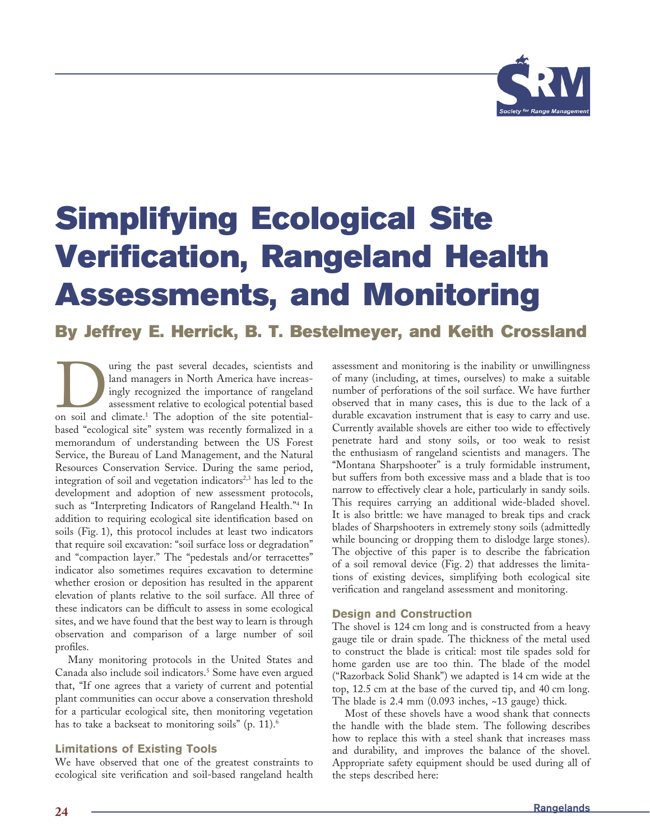

# **Simplifying Ecological Site Verification, Rangeland Health Assessments, and Monitoring**

**By Jeffrey E. Herrick, B. T. Bestelmeyer, and Keith Crossland**

The past several decades, scientists and land managers in North America have increasingly recognized the importance of rangeland assessment relative to ecological potential based on soil and climate.<sup>1</sup> The adoption of the land managers in North America have increasingly recognized the importance of rangeland assessment relative to ecological potential based based "ecological site" system was recently formalized in a memorandum of understanding between the US Forest Service, the Bureau of Land Management, and the Natural Resources Conservation Service. During the same period, integration of soil and vegetation indicators $2,3$  has led to the development and adoption of new assessment protocols, such as "Interpreting Indicators of Rangeland Health."4 In addition to requiring ecological site identification based on soils (Fig. 1), this protocol includes at least two indicators that require soil excavation: "soil surface loss or degradation" and "compaction layer." The "pedestals and/or terracettes" indicator also sometimes requires excavation to determine whether erosion or deposition has resulted in the apparent elevation of plants relative to the soil surface. All three of these indicators can be difficult to assess in some ecological sites, and we have found that the best way to learn is through observation and comparison of a large number of soil profiles.

Many monitoring protocols in the United States and Canada also include soil indicators.5 Some have even argued that, "If one agrees that a variety of current and potential plant communities can occur above a conservation threshold for a particular ecological site, then monitoring vegetation has to take a backseat to monitoring soils" (p. 11).<sup>6</sup>

# **Limitations of Existing Tools**

We have observed that one of the greatest constraints to ecological site verification and soil-based rangeland health assessment and monitoring is the inability or unwillingness of many (including, at times, ourselves) to make a suitable number of perforations of the soil surface. We have further observed that in many cases, this is due to the lack of a durable excavation instrument that is easy to carry and use. Currently available shovels are either too wide to effectively penetrate hard and stony soils, or too weak to resist the enthusiasm of rangeland scientists and managers. The "Montana Sharpshooter" is a truly formidable instrument, but suffers from both excessive mass and a blade that is too narrow to effectively clear a hole, particularly in sandy soils. This requires carrying an additional wide-bladed shovel. It is also brittle: we have managed to break tips and crack blades of Sharpshooters in extremely stony soils (admittedly while bouncing or dropping them to dislodge large stones). The objective of this paper is to describe the fabrication of a soil removal device (Fig. 2) that addresses the limitations of existing devices, simplifying both ecological site verification and rangeland assessment and monitoring.

### **Design and Construction**

The shovel is 124 cm long and is constructed from a heavy gauge tile or drain spade. The thickness of the metal used to construct the blade is critical: most tile spades sold for home garden use are too thin. The blade of the model ("Razorback Solid Shank") we adapted is 14 cm wide at the top, 12.5 cm at the base of the curved tip, and 40 cm long. The blade is 2.4 mm (0.093 inches, ~13 gauge) thick.

Most of these shovels have a wood shank that connects the handle with the blade stem. The following describes how to replace this with a steel shank that increases mass and durability, and improves the balance of the shovel. Appropriate safety equipment should be used during all of the steps described here: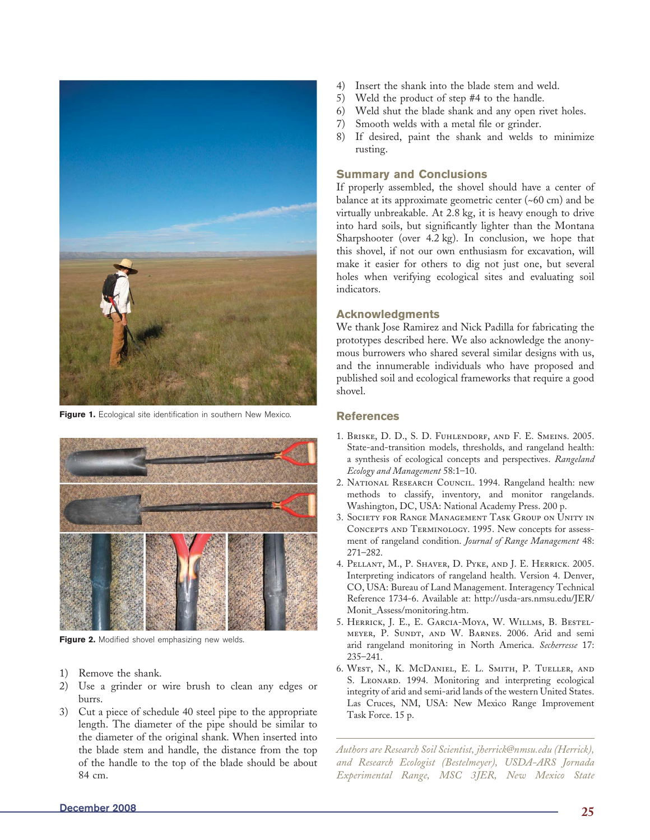

Figure 1. Ecological site identification in southern New Mexico.



Figure 2. Modified shovel emphasizing new welds.

- 1) Remove the shank.
- 2) Use a grinder or wire brush to clean any edges or burrs.
- 3) Cut a piece of schedule 40 steel pipe to the appropriate length. The diameter of the pipe should be similar to the diameter of the original shank. When inserted into the blade stem and handle, the distance from the top of the handle to the top of the blade should be about 84 cm.
- 4) Insert the shank into the blade stem and weld.
- 5) Weld the product of step #4 to the handle.
- 6) Weld shut the blade shank and any open rivet holes.
- 7) Smooth welds with a metal file or grinder.
- 8) If desired, paint the shank and welds to minimize rusting.

# **Summary and Conclusions**

If properly assembled, the shovel should have a center of balance at its approximate geometric center (~60 cm) and be virtually unbreakable. At 2.8 kg, it is heavy enough to drive into hard soils, but significantly lighter than the Montana Sharpshooter (over 4.2 kg). In conclusion, we hope that this shovel, if not our own enthusiasm for excavation, will make it easier for others to dig not just one, but several holes when verifying ecological sites and evaluating soil indicators.

#### **Acknowledgments**

We thank Jose Ramirez and Nick Padilla for fabricating the prototypes described here. We also acknowledge the anonymous burrowers who shared several similar designs with us, and the innumerable individuals who have proposed and published soil and ecological frameworks that require a good shovel.

#### **References**

- 1. Briske, D. D., S. D. Fuhlendorf, and F. E. Smeins. 2005. State-and-transition models, thresholds, and rangeland health: a synthesis of ecological concepts and perspectives. *Rangeland Ecology and Management* 58:1–10.
- 2. NATIONAL RESEARCH COUNCIL. 1994. Rangeland health: new methods to classify, inventory, and monitor rangelands. Washington, DC, USA: National Academy Press. 200 p.
- 3. Society for Range Management Task Group on Unity in Concepts and Terminology. 1995. New concepts for assessment of rangeland condition. *Journal of Range Management* 48: 271–282.
- 4. Pellant, M., P. Shaver, D. Pyke, and J. E. Herrick. 2005. Interpreting indicators of rangeland health. Version 4. Denver, CO, USA: Bureau of Land Management. Interagency Technical Reference 1734-6. Available at: http://usda-ars.nmsu.edu/JER/ Monit\_Assess/monitoring.htm.
- 5. Herrick, J. E., E. Garcia-Moya, W. Willms, B. Bestel-MEYER, P. SUNDT, AND W. BARNES. 2006. Arid and semi arid rangeland monitoring in North America. *Secherresse* 17: 235–241.
- 6. West, N., K. McDaniel, E. L. Smith, P. Tueller, and S. LEONARD. 1994. Monitoring and interpreting ecological integrity of arid and semi-arid lands of the western United States. Las Cruces, NM, USA: New Mexico Range Improvement Task Force. 15 p.

*Authors are Research Soil Scientist, jherrick@nmsu.edu (Herrick), and Research Ecologist (Bestelmeyer), USDA-ARS Jornada Experimental Range, MSC 3JER, New Mexico State*